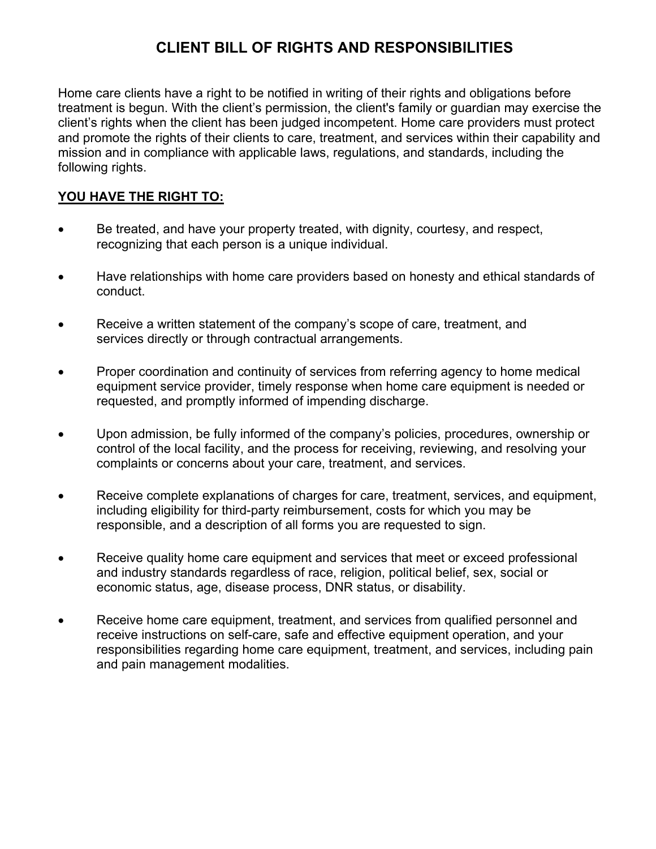# **CLIENT BILL OF RIGHTS AND RESPONSIBILITIES**

Home care clients have a right to be notified in writing of their rights and obligations before treatment is begun. With the client's permission, the client's family or guardian may exercise the client's rights when the client has been judged incompetent. Home care providers must protect and promote the rights of their clients to care, treatment, and services within their capability and mission and in compliance with applicable laws, regulations, and standards, including the following rights.

### **YOU HAVE THE RIGHT TO:**

- Be treated, and have your property treated, with dignity, courtesy, and respect, recognizing that each person is a unique individual.
- Have relationships with home care providers based on honesty and ethical standards of conduct.
- Receive a written statement of the company's scope of care, treatment, and services directly or through contractual arrangements.
- Proper coordination and continuity of services from referring agency to home medical equipment service provider, timely response when home care equipment is needed or requested, and promptly informed of impending discharge.
- Upon admission, be fully informed of the company's policies, procedures, ownership or control of the local facility, and the process for receiving, reviewing, and resolving your complaints or concerns about your care, treatment, and services.
- Receive complete explanations of charges for care, treatment, services, and equipment, including eligibility for third-party reimbursement, costs for which you may be responsible, and a description of all forms you are requested to sign.
- Receive quality home care equipment and services that meet or exceed professional and industry standards regardless of race, religion, political belief, sex, social or economic status, age, disease process, DNR status, or disability.
- Receive home care equipment, treatment, and services from qualified personnel and receive instructions on self-care, safe and effective equipment operation, and your responsibilities regarding home care equipment, treatment, and services, including pain and pain management modalities.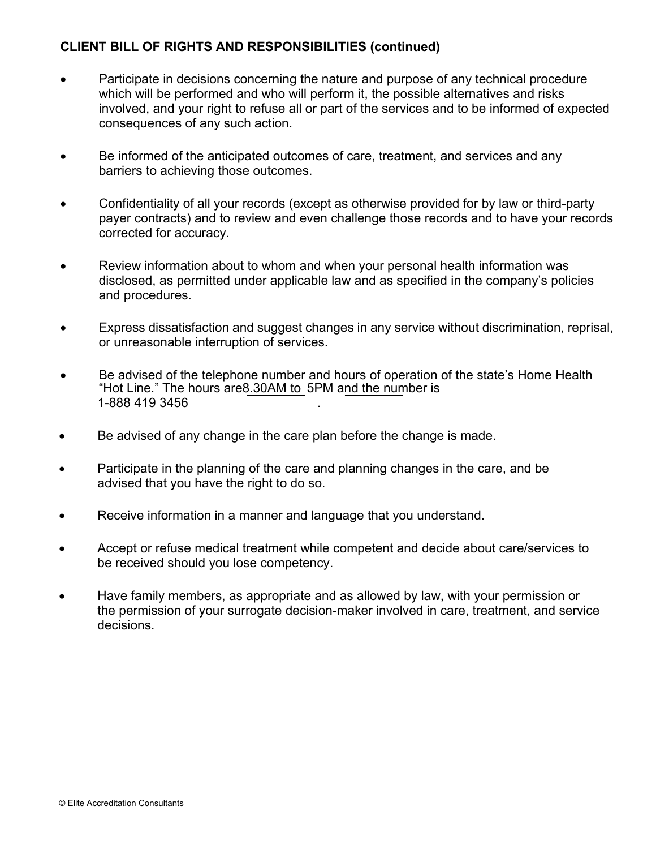#### **CLIENT BILL OF RIGHTS AND RESPONSIBILITIES (continued)**

- Participate in decisions concerning the nature and purpose of any technical procedure which will be performed and who will perform it, the possible alternatives and risks involved, and your right to refuse all or part of the services and to be informed of expected consequences of any such action.
- Be informed of the anticipated outcomes of care, treatment, and services and any barriers to achieving those outcomes.
- Confidentiality of all your records (except as otherwise provided for by law or third-party payer contracts) and to review and even challenge those records and to have your records corrected for accuracy.
- Review information about to whom and when your personal health information was disclosed, as permitted under applicable law and as specified in the company's policies and procedures.
- Express dissatisfaction and suggest changes in any service without discrimination, reprisal, or unreasonable interruption of services.
- Be advised of the telephone number and hours of operation of the state's Home Health "Hot Line." The hours are8.30AM to 5PM and the number is 1-888 419 3456 .
- Be advised of any change in the care plan before the change is made.
- Participate in the planning of the care and planning changes in the care, and be advised that you have the right to do so.
- Receive information in a manner and language that you understand.
- Accept or refuse medical treatment while competent and decide about care/services to be received should you lose competency.
- Have family members, as appropriate and as allowed by law, with your permission or the permission of your surrogate decision-maker involved in care, treatment, and service decisions.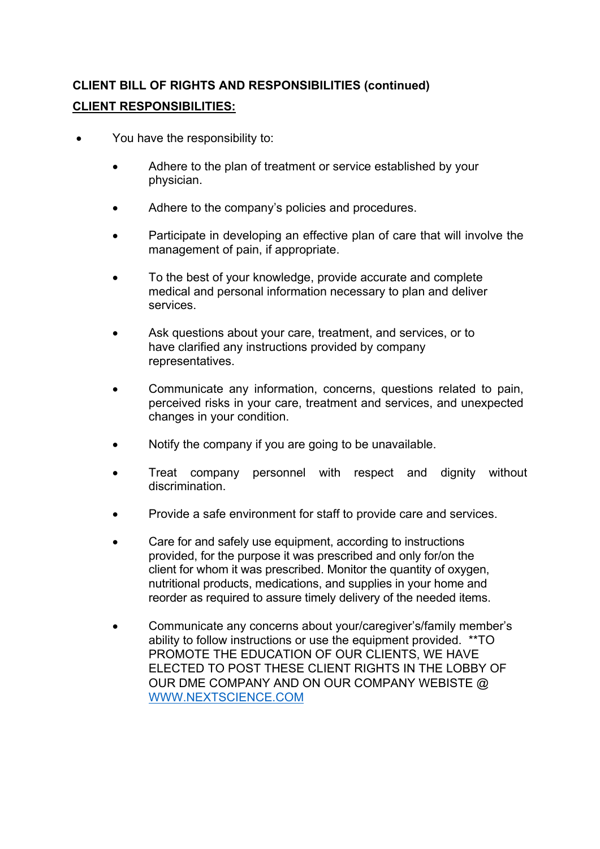# **CLIENT BILL OF RIGHTS AND RESPONSIBILITIES (continued) CLIENT RESPONSIBILITIES:**

- You have the responsibility to:
	- Adhere to the plan of treatment or service established by your physician.
	- Adhere to the company's policies and procedures.
	- Participate in developing an effective plan of care that will involve the management of pain, if appropriate.
	- To the best of your knowledge, provide accurate and complete medical and personal information necessary to plan and deliver services.
	- Ask questions about your care, treatment, and services, or to have clarified any instructions provided by company representatives.
	- Communicate any information, concerns, questions related to pain, perceived risks in your care, treatment and services, and unexpected changes in your condition.
	- Notify the company if you are going to be unavailable.
	- Treat company personnel with respect and dignity without discrimination.
	- Provide a safe environment for staff to provide care and services.
	- Care for and safely use equipment, according to instructions provided, for the purpose it was prescribed and only for/on the client for whom it was prescribed. Monitor the quantity of oxygen, nutritional products, medications, and supplies in your home and reorder as required to assure timely delivery of the needed items.
	- Communicate any concerns about your/caregiver's/family member's ability to follow instructions or use the equipment provided. \*\*TO PROMOTE THE EDUCATION OF OUR CLIENTS, WE HAVE ELECTED TO POST THESE CLIENT RIGHTS IN THE LOBBY OF OUR DME COMPANY AND ON OUR COMPANY WEBISTE @ [WWW.NEXTSCIENCE.COM](http://www.nextscience.com/)